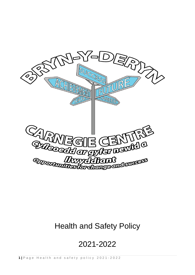

# Health and Safety Policy

# 2021-2022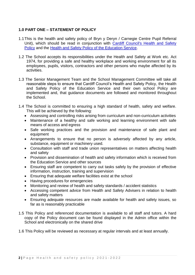# **1.0 PART ONE – STATEMENT OF POLICY**

- 1.1This is the health and safety policy of Bryn y Deryn / Carnegie Centre Pupil Referral Unit), which should be read in conjunction with [Cardiff Council's Health and Safety](http://web1.cardiff.gov.uk/corpqms/corporate%20general%2FPolicies%2FHealth%20and%20Safety/1.CM.053%20Health%20and%20Safety%20Policy%20issue%203%20-%20June%202011.doc)  [Policy](http://web1.cardiff.gov.uk/corpqms/corporate%20general%2FPolicies%2FHealth%20and%20Safety/1.CM.053%20Health%20and%20Safety%20Policy%20issue%203%20-%20June%202011.doc) and the [Health and Safety Policy of the Education Service.](http://web1.cardiff.gov.uk/corpqms/SCHOOLS%20SERVICES%2FHealth%20and%20Safety/8.SC.002%20August%202013-%20Education%20Health%20and%20Safety%20Policy%20DRAFT%20v%201.9.docx)
- 1.2 The School accepts its responsibilities under the Health and Safety at Work etc. Act 1974, for providing a safe and healthy workplace and working environment for all its employees, pupils, visitors, contractors and other persons who maybe affected by its activities.
- 1.3 The Senior Management Team and the School Management Committee will take all reasonable steps to ensure that Cardiff Council's Health and Safety Policy, the Health and Safety Policy of the Education Service and their own school Policy are implemented and, that guidance documents are followed and monitored throughout the School.
- 1.4 The School is committed to ensuring a high standard of health, safety and welfare. This will be achieved by the following:
	- Assessing and controlling risks arising from curriculum and non-curriculum activities
	- Maintenance of a healthy and safe working and learning environment with safe means of access and egress
	- Safe working practices and the provision and maintenance of safe plant and equipment
	- Arrangements to ensure that no person is adversely affected by any article, substance, equipment or machinery used.
	- Consultation with staff and trade union representatives on matters affecting health and safety
	- Provision and dissemination of health and safety information which is received from the Education Service and other sources
	- Ensuring staff are competent to carry out tasks safely by the provision of effective information, instruction, training and supervision
	- Ensuring that adequate welfare facilities exist at the school
	- Having procedures for emergencies
	- Monitoring and review of health and safety standards / accident statistics
	- Accessing competent advice from Health and Safety Advisers in relation to health and safety matters
	- Ensuring adequate resources are made available for health and safety issues, so far as is reasonably practicable
- 1.5 This Policy and referenced documentation is available to all staff and tutors. A hard copy of the Policy document can be found displayed in the Admin office within the School and electronically on the shared drive
- 1.6 This Policy will be reviewed as necessary at regular intervals and at least annually.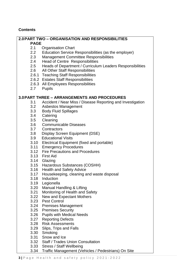# **Contents**

## **2.0PART TWO – ORGANISATION AND RESPONSIBILITIES**

**PAGE**

- 2.1 Organisation Chart
- 2.2 Education Service Responsibilities (as the employer)
- 2.3 Management Committee Responsibilities
- 2.4 Head of Centre Responsibilities
- 2.5 Heads of Department / Curriculum Leaders Responsibilities
- 2.6 All Other Staff Responsibilities
- 2.6.1 Teaching Staff Responsibilities
- 2.6.2 Estates Staff Responsibilities
- 2.6.3 All Employees Responsibilities
- 2.7 Pupils

## **3.0PART THREE – ARRANGEMENTS AND PROCEDURES**

- 3.1 Accident / Near Miss / Disease Reporting and Investigation
- 3.2 Asbestos Management
- 3.3 Body Fluid Spillages
- 3.4 Catering
- 3.5 Cleaning
- 3.6 Communicable Diseases
- 3.7 Contractors
- 3.8 Display Screen Equipment (DSE)
- 3.9 Educational Visits
- 3.10 Electrical Equipment (fixed and portable)
- 3.11 Emergency Procedures
- 3.12 Fire Precautions and Procedures
- 3.13 First Aid
- 3.14 Glazing
- 3.15 Hazardous Substances (COSHH)
- 3.16 Health and Safety Advice
- 3.17 Housekeeping, cleaning and waste disposal
- 3.18 Induction
- 3.19 Legionella
- 3.20 Manual Handling & Lifting
- 3.21 Monitoring of Health and Safety
- 3.22 New and Expectant Mothers
- 3.23 Pest Control
- 3.24 Premises Management
- 3.25 Premises Security
- 3.26 Pupils with Medical Needs
- 3.27 Reporting Defects
- 3.28 Risk Assessments
- 3.29 Slips, Trips and Falls
- 3.30 Smoking
- 3.31 Snow and Ice
- 3.32 Staff / Trades Union Consultation
- 3.33 Stress / Staff Wellbeing
- 3.34 Traffic Management (Vehicles / Pedestrians) On Site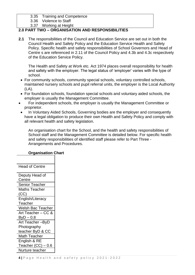### 3.35 Training and Competence

3.36 Violence to Staff

3.37 Working at Height

# **2.0 PART TWO – ORGANISATION AND RESPONSIBILITIES**

**2.1** The responsibilities of the Council and Education Service are set out in both the Council Health and Safety Policy and the Education Service Health and Safety Policy. Specific health and safety responsibilities of School Governors and Head of Centre s are referenced in 2.11 of the Council Policy and 4.3b and 4.3c respectively of the Education Service Policy.

The Health and Safety at Work etc. Act 1974 places overall responsibility for health and safety with the employer. The legal status of 'employer' varies with the type of school.

- For community schools, community special schools, voluntary controlled schools, maintained nursery schools and pupil referral units, the employer is the Local Authority (LA).
- For foundation schools, foundation special schools and voluntary aided schools, the employer is usually the Management Committee.
- For independent schools, the employer is usually the Management Committee or proprietor.
- In Voluntary Aided Schools, Governing bodies are the employer and consequently have a legal obligation to produce their own Health and Safety Policy and comply with all relevant health and safety legislation.

An organisation chart for the School, and the health and safety responsibilities of School staff and the Management Committee is detailed below. For specific health and safety responsibilities of identified staff please refer to Part Three - Arrangements and Procedures.

# **Organisation Chart**

| <b>Head of Centre</b>    |
|--------------------------|
| Deputy Head of           |
| Centre                   |
| Senior Teacher           |
| <b>Maths Teacher</b>     |
| (CC)                     |
| English/Literacy         |
| Teacher                  |
| <b>Welsh Bac Teacher</b> |
| Art Teacher – CC &       |
| $ByD - 0.8$              |
| Art Teacher-ByD          |
| Photography              |
| teacher ByD & CC         |
| Math Teacher             |
| English & RE             |
| Teacher $(CC) - 0.6$     |
| Nurture teacher          |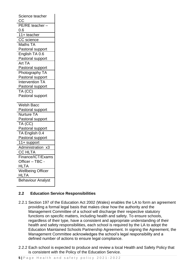| Science teacher          |
|--------------------------|
| $\overline{CC}$          |
| PE/RE teacher            |
| $0.6\,$                  |
| 11+ teacher              |
| <b>CC</b> science        |
| Maths TA                 |
| Pastoral support         |
| English TA 0.6           |
| Pastoral support         |
| Art TA                   |
| Pastoral support         |
| Photography TA           |
| Pastoral support         |
| Intervention TA          |
| Pastoral support         |
| TA (CC)                  |
| Pastoral support         |
|                          |
|                          |
| <b>Welsh Bacc</b>        |
| Pastoral support         |
| <b>Nurture TA</b>        |
| Pastoral support         |
| TA (CC)                  |
| Pastoral support         |
| TA English 0.4           |
| Pastoral support         |
| 11+ support              |
| Administration x3        |
| <b>CC HLTA</b>           |
| Finance/ICT/Exams        |
| Officer - TBC -          |
| <b>HLTA</b>              |
| <b>Wellbeing Officer</b> |
| <b>HLTA</b>              |
| <b>Behaviour Analyst</b> |

# **2.2 Education Service Responsibilities**

- 2.2.1 Section 197 of the Education Act 2002 (Wales) enables the LA to form an agreement providing a formal legal basis that makes clear how the authority and the Management Committee of a school will discharge their respective statutory functions on specific matters, including health and safety. To ensure schools, regardless of their type, have a consistent and appropriate understanding of their health and safety responsibilities, each school is required by the LA to adopt the Education Maintained Schools Partnership Agreement. In signing the Agreement, the Management Committee acknowledges the school's legal responsibility and a defined number of actions to ensure legal compliance.
- 2.2.2 Each school is expected to produce and review a local Health and Safety Policy that is consistent with the Policy of the Education Service.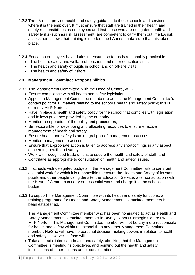- 2.2.3 The LA must provide health and safety guidance to those schools and services where it is the employer. It must ensure that staff are trained in their health and safety responsibilities as employees and that those who are delegated health and safety tasks (such as risk assessment) are competent to carry them out. If a LA risk assessment shows that training is needed, the LA must make sure that this takes place.
- 2.2.4 Education employers have duties to ensure, so far as is reasonably practicable:
	- The health, safety and welfare of teachers and other education staff;
	- The health and safety of pupils in school and on off-site visits:
	- The health and safety of visitors.

# **2.3 Management Committee Responsibilities**

2.3.1 The Management Committee, with the Head of Centre, will:-

- Ensure compliance with all health and safety legislation;
- Appoint a Management Committee member to act as the Management Committee's contact point for all matters relating to the school's health and safety policy; this is currently Mr P Norton.
- Have in place a health and safety policy for the school that complies with legislation and follows guidance provided by the authority
- Monitor the operation of the policy and procedures;
- Be responsible for developing and allocating resources to ensure effective management of health and safety;
- Ensure health and safety is an integral part of management practices;
- Monitor management practices;
- Ensure that appropriate action is taken to address any shortcomings in any aspect concerning health and safety;
- Work with recognised trade unions to secure the health and safety of staff; and
- Contribute as appropriate to consultation on health and safety issues.
- 2.3.2 In schools with delegated budgets, if the Management Committee fails to carry out essential work for which it is responsible to ensure the Health and Safety of its staff, pupils and other people using the site, the Education Service, after consultation with the Head of Centre, can carry out essential work and charge it to the school's budget.
- 2.3.3 To support the Management Committee with its health and safety functions, a training programme for Health and Safety Management Committee members has been established.

The Management Committee member who has been nominated to act as Health and Safety Management Committee member in Bryn y Deryn / Carnegie Centre PRU is Mr P Norton. This Management Committee member will not be any more responsible for health and safety within the school than any other Management Committee member. He/She will have no personal decision-making powers in relation to health and safety. However, he/she will:-

• Take a special interest in health and safety, checking that the Management Committee is meeting its objectives, and pointing out the health and safety implications of other actions under consideration.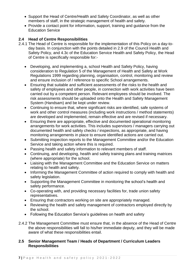- Support the Head of Centre/Health and Safety Coordinator, as well as other members of staff, in the strategic management of health and safety.
- Provide a contact point for information, support, training and guidance from the Education Service

# **2.4 Head of Centre Responsibilities**

- 2.4.1 The Head of Centre is responsible for the implementation of this Policy on a day-today basis. In conjunction with the points detailed in 2.9 of the Council Health and Safety Policy, and 4.3c of the Education Service Health and Safety Policy, the Head of Centre is specifically responsible for:-
	- Developing, and implementing a, school Health and Safety Policy, having consideration to Regulation 5 of the Management of Health and Safety at Work Regulations 1999 regarding planning, organisation, control, monitoring and review and ensure inclusion of / reference to specific School arrangements.
	- Ensuring that suitable and sufficient assessments of the risks to the health and safety of employees and other people, in connection with work activities have been carried out by a competent person. Relevant employees should be involved. The risk assessments should be uploaded onto the Health and Safety Management System (Handsam) and be kept under review.
	- Continuing to ensure that, where significant risks are identified, safe systems of work and other control measures (including work instructions / method statements) are developed and implemented, remain effective and are revised if necessary.
	- Ensuring there are appropriate, effective and documented operational monitoring arrangements for work activities. This includes supervisors / managers carrying out documented health and safety checks / inspections, as appropriate, and having monitoring arrangements in place to ensure identified actions are carried out.
	- Submitting inspection reports to the Management Committee and/or the Education Service and taking action where this is required.
	- Passing health and safety information to relevant members of staff.
	- Continuing, and developing, health and safety training plans and training matrices (where appropriate) for the school.
	- Liaising with the Management Committee and the Education Service on matters relating to health and safety.
	- Informing the Management Committee of action required to comply with health and safety legislation.
	- Supporting the Management Committee in monitoring the school's health and safety performance.
	- Co-operating with, and providing necessary facilities for, trade union safety representatives.
	- Ensuring that contractors working on site are appropriately managed.
	- Reviewing the health and safety management of contractors employed directly by the school.
	- Following the Education Service's guidelines on health and safety
- 2.4.2 The Management Committee must ensure that, in the absence of the Head of Centre the above responsibilities will fall to his/her immediate deputy, and they will be made aware of what these responsibilities entail.

# **2.5 Senior Management Team / Heads of Department / Curriculum Leaders Responsibilities**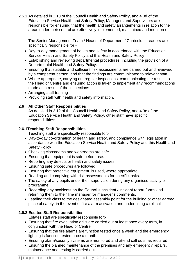2.5.1 As detailed in 2.10 of the Council Health and Safety Policy, and 4.3d of the Education Service Health and Safety Policy, Managers and Supervisors are responsible for ensuring that the health and safety arrangements in relation to the areas under their control are effectively implemented, maintained and monitored.

The Senior Management Team / Heads of Department / Curriculum Leaders are specifically responsible for:-

- Day-to-day management of health and safety in accordance with the Education Service Health and Safety Policy and this Health and Safety Policy
- Establishing and reviewing departmental procedures, including the provision of a Departmental Health and Safety Policy.
- Ensuring that suitable and sufficient risk assessments are carried out and reviewed by a competent person, and that the findings are communicated to relevant staff.
- Where appropriate, carrying out regular inspections, communicating the results to the Head of Centre and ensuring action is taken to implement any recommendations made as a result of the inspections
- Arranging staff training
- Providing staff with health and safety information.

# **2.6 All Other Staff Responsibilities**

As detailed in 2.12 of the Council Health and Safety Policy, and 4.3e of the Education Service Health and Safety Policy, other staff have specific responsibilities:-

## **2.6.1Teaching Staff Responsibilities**

Teaching staff are specifically responsible for:-

- Day-to-day co-ordination of health and safety, and compliance with legislation in accordance with the Education Service Health and Safety Policy and this Health and Safety Policy
- Checking classrooms and workrooms are safe
- Ensuring that equipment is safe before use.
- Reporting any defects or health and safety issues
- Ensuring safe procedures are followed
- Ensuring that protective equipment is used, where appropriate
- Reading and complying with risk assessments for specific tasks.
- The safety of any pupils under their supervision during any organised activity or programme
- Recording any accidents on the Council's accident / incident report forms and returning them to their line manager for manager's comments.
- Leading their class to the designated assembly point for the building or other agreed place of safety, in the event of fire alarm activation and undertaking a roll call.

# **2.6.2 Estates Staff Responsibilities**

Estates staff are specifically responsible for:-

- Ensuring that fire evacuation drills are carried out at least once every term, in conjunction with the Head of Centre
- Ensuring that the fire alarms are function tested once a week and the emergency lighting is function tested once a month.
- Ensuring alarm/security systems are monitored and attend call outs, as required.
- Ensuring the planned maintenance of the premises and any emergency repairs, maintenance and testing is carried out.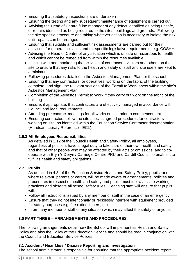- Ensuring that statutory inspections are undertaken
- Ensuring the testing and any subsequent maintenance of equipment is carried out.
- Advising the Head of Centre /Line manager of any defect identified as being unsafe, or repairs identified as being required to the sites, buildings and grounds. Following the site specific procedure and taking whatever action is necessary to isolate the risk until repairs can be arranged.
- Ensuring that suitable and sufficient risk assessments are carried out for their activities, for general activities and for specific legislative requirements, e.g. COSHH
- Advising the Head of Centre of any situation which is unsafe or hazardous to health and which cannot be remedied from within the resources available.
- Liaising with and monitoring the activities of contractors, visitors and others on the site to ensure that any risks to the health and safety of staff and site users are kept to a minimum.
- Following procedures detailed in the Asbestos Management Plan for the school
- Ensuring that any contractors, or operatives, working on the fabric of the building complete, and sign, the relevant sections of the Permit to Work sheet within the site's Asbestos Management Plan.
- Completion of the Asbestos Permit to Work if they carry out work on the fabric of the building
- Ensure, if appropriate, that contractors are effectively managed in accordance with Council and legal requirements
- Attending pre contract meetings for all works on site prior to commencement.
- Ensuring contractors follow the site specific agreed procedures for contractors working on site, as identified within the Education Service Contractor documentation (Handsam Library Reference - ECL).

## **2.6.3 All Employees Responsibilities**

As detailed in 2.12 of the Council Health and Safety Policy, all employees, regardless of position, have a legal duty to take care of their own health and safety, and that of other people who may be affected by their acts or omissions, and to cooperate with Bryn Y Deryn / Carnegie Centre PRU and Cardiff Council to enable it to fulfil its health and safety obligations.

## **2.7 Pupils**

As detailed in 4.3f of the Education Service Health and Safety Policy, pupils, and where relevant, parents or carers, will be made aware of arrangements, policies and procedures in respect of health and safety and pupils must follow all safe working practices and observe all school safety rules. Teaching staff will ensure that pupils will:-

- Follow all instructions issued by any member of staff in the case of an emergency.
- Ensure that they do not intentionally or recklessly interfere with equipment provided for safety purposes e.g. fire extinguishers, etc.
- Inform any member of staff of any situation which may affect the safety of anyone.

# **3.0 PART THREE – ARRANGEMENTS AND PROCEDURES**

The following arrangements detail how the School will implement its Health and Safety Policy and also the Policy of the Education Service and should be read in conjunction with the Council and Education Service Polices

### **3.1 Accident / Near Miss / Disease Reporting and Investigation**

The school administrator is responsible for ensuring that the appropriate accident report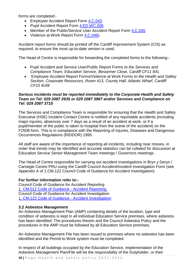forms are completed:-

- Employee Accident Report Form [4.C.043](http://web1.cardiff.gov.uk/corpqms/corporate%20general%2Fforms/4.C.043%20Accident%20Dangerous%20Occurrence%20Report%20Form.doc)
- Pupil Accident Report Form [4.ED.WC.006](http://web1.cardiff.gov.uk/corpqms/SCHOOLS%20SERVICES%2Fforms/4.ED.WC.006%20Pupil%20Accident%20Form.doc)
- Member of the Public/Service User Accident Report Form [4.C.045](http://web1.cardiff.gov.uk/corpqms/corporate%20general%2Fforms/4.C.045%20Service%20User%20-%20Public%20Accident%20Report%20Form.doc)
- Violence at Work Report Form [4.C.046\)](http://web1.cardiff.gov.uk/corpqms/corporate%20general%2Fforms/4.C.046%20Violence%20at%20Work%20Report%20Form.doc).

Accident report forms should be printed off the Cardiff Improvement System (CIS) as required, to ensure the most up-to-date version is used.

The Head of Centre is responsible for forwarding the completed forms to the following:-

- Pupil Accident and Service User/Public Report Forms *to the Services and Compliance Team, Education Service, Bessemer Close, Cardiff CF11 8XL*
- Employee Accident Report Forms/Violence at Work Forms *to the Health and Safety Section, Corporate Resources, Room 413, County Hall, Atlantic Wharf, Cardiff CF10 4UW*

#### *Serious incidents must be reported immediately to the Corporate Health and Safety Team on Tel: 029 2087 2635 or 029 2087 3967 and/or Services and Compliance on Tel: 029 2087 3715*

The Services and Compliance Team is responsible for ensuring that the Health and Safety Executive (HSE) Incident Contact Centre is notified of any reportable accidents (including major injuries, absences over 7 days as a result of an accident at work, or if a pupil/member of the public is taken to hospital from the scene of the accident) on the F2508 form. This is in compliance with the Reporting of Injuries, Diseases and Dangerous Occurrences Regulations (RIDDOR) 1995.

All staff are aware of the importance of reporting all incidents, including near misses, in order that trends may be identified and accurate statistics can be collated for discussion at Education Service Senior Management Team meetings / Governors meetings.

The Head of Centre responsible for carrying out accident investigations in Bryn y Deryn / Carnegie Centre PRU using the Cardiff Council Accident/Incident Investigation Form (see Appendix A of 1.CM.122 Council Code of Guidance for Accident Investigation)

### **For further information refer to:***-*

Council Code of Guidance for Accident Reporting 1. [CM.012 Code of Guidance -](http://web1.cardiff.gov.uk/corpqms/CORPORATE%20GENERAL/Guidance%20Notes/Health%20&%20Safety/1.CM.012%20Code%20of%20Guidance%20-%20Accident%20Reporting.doc) Accident Reporting. Council Code of Guidance for Accident Investigation 1. [CM.122 Code of Guidance -](http://web1/corpqms/corporate%20general/procedures/1.CM.122%20Accident%20Investigation.pdf) Accident Investigation

### **3.2 Asbestos Management**

An Asbestos Management Plan (AMP) containing details of the location, type and condition of asbestos is kept in all individual Education Service premises, where asbestos has been identified. The procedures therein and the Council Asbestos Policy and the procedures in the AMP must be followed by all Education Service premises.

An Asbestos Management File has been issued to premises where no asbestos has been identified and the Permit to Work system must be completed.

In respect of all buildings occupied by the Education Service, implementation of the Asbestos Management Plan/File will be the responsibility of the Dutyholder, or their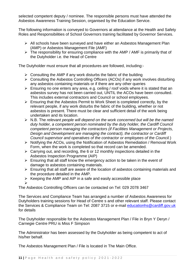selected competent deputy / nominee. The responsible persons must have attended the Asbestos Awareness Training Session, organised by the Education Service.

The following information is conveyed to Governors at attendance at the Health and Safety Roles and Responsibilities of School Governors training facilitated by Governor Services.

- ➢ All schools have been surveyed and have either an Asbestos Management Plan (AMP) or Asbestos Management File (AMF)
- ➢ The responsibility for ensuring compliance with the AMP / AMF is primarily that of the Dutyholder i.e. the Head of Centre

The Dutyholder must ensure that all procedures are followed, including:-

- $\triangleright$  Consulting the AMP if any work disturbs the fabric of the building
- ➢ Consulting the Asbestos Controlling Officers (ACOs) if any work involves disturbing any asbestos containing materials or if there are any other queries
- ➢ Ensuring no one enters any area, e.g. ceiling / roof voids where it is stated that an asbestos survey has not been carried out, UNTIL the ACOs have been consulted. This includes external contractors and Council or school employees.
- ➢ Ensuring that the Asbestos Permit to Work Sheet is completed correctly, by the relevant people, if any work disturbs the fabric of the building, whether or not asbestos is present. There must be clear and sufficient detail of the work being undertaken and its location.
- ➢ N.B. The *relevant people will depend on the work concerned but will be the named duty holder, a competent person nominated by the duty holder, the Cardiff Council competent person managing the contractors (if Facilities Management or Projects, Design and Development are managing the contract), the contractor or Cardiff Council supervisor and operatives of the contractor or employees of the Council.*)
- ➢ Notifying the ACOs, using the Notification of Asbestos Remediation / Removal Work Form, when the work is completed so that record can be amended.
- $\triangleright$  Carrying out, and recording, the 6 or 12 monthly inspections detailed in the Asbestos Inspection Programme (AIP)
- $\triangleright$  Ensuring that all staff know the emergency action to be taken in the event of damage to asbestos containing materials.
- ➢ Ensuring that all staff are aware of the location of asbestos containing materials and the procedure detailed in the AMP.
- ➢ Keeping the AMP and AIP in a safe and easily accessible place
- ➢

The Asbestos Controlling Officers can be contacted on Tel: 029 2078 3467

The Services and Compliance Team has arranged a number of Asbestos Awareness for Dutyholders training sessions for Head of Centre s and other relevant staff. Please contact the Services & Compliance Team on Tel: 2087 3715 or e-mail [educationhs@cardiff.gov.uk](mailto:educationhs@cardiff.gov.uk) for details

The Dutyholder responsible for the Asbestos Management Plan / File in Bryn Y Deryn / Carnegie Centre PRU is Miss F Simpson

The Administrator has been assessed by the Dutyholder as being competent to act of his/her behalf.

The Asbestos Management Plan / File is located in The Main Office.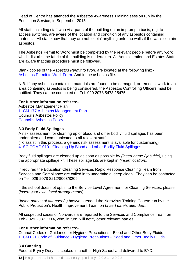Head of Centre has attended the Asbestos Awareness Training session run by the Education Service, in September 2015.

All staff, including staff who visit parts of the building on an impromptu basis, e.g. to access switches, are aware of the location and condition of any asbestos containing materials. All staff know that they are not to 'pin' anything onto the walls if the walls contain asbestos.

The Asbestos Permit to Work must be completed by the relevant people before any work which disturbs the fabric of the building is undertaken. All Administration and Estates Staff are aware that this procedure must be followed.

Blank copies of the *Asbestos Permit to Work* are located at the following link: - [Asbestos Permit to Work Form.](http://web1.cardiff.gov.uk/corpqms/corporate%20general%2Fforms/Asbestos%20Permit%20to%20Work%20Sheet.pdf) And in the asbestos file.

N.B. If any asbestos containing materials are found to be damaged, or remedial work to an area containing asbestos is being considered, the Asbestos Controlling Officers must be notified. They can be contacted on Tel: 029 2078 5473 / 5475.

### **For further information refer to:-**

Asbestos Management Plan 1. [CM.177 Asbestos Management Plan](http://web1.cardiff.gov.uk/corpqms/corporate%20general/Policies/Health%20and%20Safety/1.CM.177%20Asbestos%20Management%20Plan%20Final%20Feb%202010.pdf) Council's Asbestos Policy [Council's Asbestos Policy](http://web1.cardiff.gov.uk/corpqms/corporate%20general/Policies/Health%20and%20Safety/Asbestos%20Policy%20Final%20Feb%202010.pdf)

### **3.3 Body Fluid Spillages**

A risk assessment for cleaning up of blood and other bodily fluid spillages has been undertaken and communicated to all relevant staff.

(To assist in this process, a generic risk assessment is available for customising) 4. SC.COMP.010 - [Cleaning Up Blood and other Bodily Fluid Spillages](http://web1.cardiff.gov.uk/corpqms/SCHOOLS%20SERVICES%2FHealth%20and%20Safety/4.SC.COMP.010%20%28ERA%20-%20Bodily%20Fluids%29.doc)

Body fluid spillages are cleaned up as soon as possible by *(insert name / job title),* using the appropriate spillage kit. These spillage kits are kept in *(insert location).*

If required the Education Cleaning Services Rapid Response Cleaning Team from Services and Compliance are called in to undertake a 'deep clean'. They can be contacted on Tel: 029 2078 8212/8003/8209.

If the school does not opt in to the Service Level Agreement for Cleaning Services, please (*insert your own, local arrangements*).

*(Insert names of attendee/s)* has/ve attended the Norovirus Training Course run by the Public Protection's Health Improvement Team on (*insert date/s attended).* 

All suspected cases of Norovirus are reported to the Services and Compliance Team on Tel: - 029 2087 3714, who, in turn, will notify other relevant parties.

### **For further information refer to:-**

Council Codes of Guidance for Hygiene Precautions - Blood and Other Body Fluids 1. CM.021 Code of Guidance - Hygiene Precautions - [Blood and Other Bodily Fluids.](http://web1/corpqms/corporate%20general/procedures/1.CM.021%20Code%20of%20Guidance%20-%20Hygiene%20Precautions%20-%20Blood%20and%20Other%20Body%20Fluids.pdf)

### **3.4 Catering**

Food at Bryn y Deryn is cooked in another High School and delivered to BYD.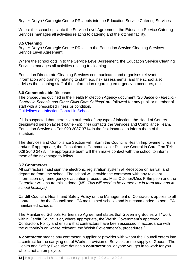Bryn Y Deryn / Carnegie Centre PRU opts into the Education Service Catering Services

Where the school opts into the Service Level Agreement, the Education Service Catering Services manages all activities relating to catering and the kitchen facility.

## **3.5 Cleaning**

Bryn Y Deryn / Carnegie Centre PRU in to the Education Service Cleaning Services Service Level Agreement.

Where the school opts in to the Service Level Agreement, the Education Service Cleaning Services manages all activities relating to cleaning

Education Directorate Cleaning Services communicates and organises relevant information and training relating to staff, e.g. risk assessments, and the school also advises the cleaning staff of the information regarding emergency procedures, etc.

### **3.6 Communicable Diseases**

The procedures outlined in the Health Protection Agency document *'Guidance on Infection Control in Schools and Other Child Care Settings'* are followed for any pupil or member of staff with a prescribed illness or condition*.* [Guidelines on Infection Control in Schools](http://www.hpa.org.uk/webc/HPAwebFile/HPAweb_C/1194947358374)

If it is suspected that there is an outbreak of any type of infection, the Head of Centre/ designated person (*insert name / job title*) contacts the Services and Compliance Team, Education Service on Tel: 029 2087 3714 in the first instance to inform them of the situation.

The Services and Compliance Section will inform the Council's Health Improvement Team and/or, if appropriate, the Consultant in Communicable Disease Control in Cardiff on Tel: 029 2040 2478. The appropriate team will then make contact with the school to inform them of the next stage to follow.

### **3.7 Contractors**

All contractors must sign the electronic registration system at Reception on arrival, and departure from, the school. The school will provide the contractor with any relevant information e.g. emergency evacuation procedures. Miss C Jones/Miss F Simpson and the Caretaker will ensure this is done. (*NB: This will need to be carried out in term time and in school holidays)*

Cardiff Council's Health and Safety Policy on the Management of Contractors applies to all contracts let by the Council and LEA maintained schools and is recommended to non LEA maintained schools.

The Maintained Schools Partnership Agreement states that Governing Bodies will "work within Cardiff Council's or, where appropriate, the Welsh Government's approved Contractors Policy and ensure that contractors have been assessed in accordance with the authority's or, where relevant, the Welsh Government's, procedures."

A **contractor** means any contractor, supplier or provider with whom the Council enters into a contract for the carrying out of Works, provision of Services or the supply of Goods. The Health and Safety Executive defines a **contractor** as "anyone you get in to work for you who is not an employee."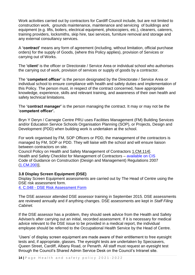Work activities carried out by contractors for Cardiff Council include, but are not limited to construction work, grounds maintenance, maintenance and servicing of buildings and equipment (e.g. lifts, boilers, electrical equipment, photocopiers, etc.), cleaners, caterers, training providers, locksmiths, skip hire, taxi services, furniture removal and storage and any external consultancy services.

A **'contract'** means any form of agreement (including, without limitation, official purchase orders) for the supply of Goods, (where this Policy applies), provision of Services or carrying out of Works.

The **'client'** is the officer or Directorate / Service Area or individual school who authorises the carrying out of work, provision of services or supply of goods by a contractor.

The **'competent officer'** is the person designated by the Directorate / Service Area or individual school to ensure compliance with health and safety duties and implementation of this Policy. The person must, in respect of the contract concerned, have appropriate knowledge, experience, skills and relevant training, and awareness of their own health and safety technical limitations.

The **'contract manager'** is the person managing the contract. It may or may not be the '**competent officer'.**

Bryn Y Deryn / Carnegie Centre PRU uses Facilities Management (FM) Building Services and/or Education Service Schools Organisation Planning (SOP), or Projects, Design and Development (PDD) when building work is undertaken at the school.

For work organised by FM, SOP Officers or PDD, the management of the contractors is managed by FM, SOP or PDD. They will liaise with the school and will ensure liaison between contractors on site.

Council Policy on Health and Safety Management of Contractors [1.CM.114\]](http://web1/corpqms/corporate%20general/Policies/Health%20and%20Safety/1.CM.114%20HS%20Policy%20on%20Contractors.pdf). Health and Safety Checklist for Management of Contractors – available on CIS Code of Guidance on Construction (Design and Management) Regulations 2007 [\(1.CM.200\)](http://vmweb2.cardiff.gov.uk/cis2/viewdocument.php?id=52683)],

### **3.8 Display Screen Equipment (DSE)**

Display Screen Equipment assessments are carried out by The Head of Centre using the DSE risk assessment form.

4. C.048 - [DSE Risk Assessment Form](http://web1.cardiff.gov.uk/corpqms/corporate%20general/forms/4.C.048%20DSE%20Assessment%20Form%20Ourspace%20amendment.doc)

The DSE assessor attended DSE assessor training in September 2015. DSE assessments are reviewed annually and if anything changes. DSE assessments are kept in *Staff Filing Cabinet.*

If the DSE assessor has a problem, they should seek advice from the Health and Safety Adviser/s after carrying out an initial, recorded assessment. If it is necessary for medical advice relevant to the DSE issue to be provided in a medical report, the individual employee should be referred to the Occupational Health Service by the Head of Centre.

'Users' of display screen equipment are made aware of their entitlement to free eyesight tests and, if appropriate, glasses. The eyesight tests are undertaken by Specsavers, Queen Street, Cardiff, Albany Road, or Penarth. All staff must request an eyesight test through the Council's Shared Admin Service Desk on the Council's Intranet site.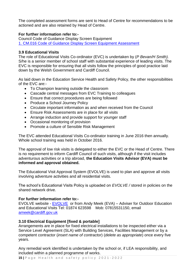The completed assessment forms are sent to Head of Centre for recommendations to be actioned and are also retained by Head of Centre.

## **For further information refer to:***-*

Council Code of Guidance Display Screen Equipment 1. [CM.016 Code of Guidance Display Screen Equipment Assessment](http://web1/corpqms/corporate%20general/procedures/1.CM.016%20Code%20of%20Guidance%20-%20Display%20Screen%20Equipment.pdf)

## **3.9 Educational Visits**

The role of Educational Visits Co-ordinator (EVC) is undertaken by (*P Bevan/H Smith).* S/he is a senior member of school staff with substantial experience of leading visits. The EVC is responsible for ensuring that all visits follow the principles of good practice laid down by the Welsh Government and Cardiff Council.

As laid down in the Education Service Health and Safety Policy, the other responsibilities of the EVC are:-

- To Champion learning outside the classroom
- Cascade central messages from EVC Training to colleagues
- Ensure that correct procedures are being followed
- Produce a School Journey Policy
- Circulate important information as and when received from the Council
- Ensure Risk Assessments are in place for all visits
- Arrange induction and provide support for younger staff
- Occasional monitoring of provision
- Promote a culture of Sensible Risk Management

The EVC attended Educational Visits Co-ordinator training in June 2016 then annually. Whole school training was held in October 2016.

The approval of low risk visits is delegated to either the EVC or the Head of Centre. There is no requirement to inform Cardiff Council of such visits, although if the visit includes adventurous activities or a trip abroad, **the Education Visits Advisor (EVA) must be informed and approval obtained.**

The Educational Visit Approval System (EVOLVE) is used to plan and approve all visits involving adventure activities and all residential visits.

The school's Educational Visits Policy is uploaded on *EVOLVE /* stored in policies on the shared network drive.

### **For further information refer to:-**

[EVOLVE](https://evolve.edufocus.co.uk/evco6/index.asp) website - EVOLVE or from Andy Meek (EVA) – Adviser for Outdoor Education and Educational Visits Tel: 01874 623598 Mob: 07815531150, email [ameek@cardiff.gov.uk](mailto:ameek@cardiff.gov.uk)

### **3.10 Electrical Equipment [fixed & portable]**

Arrangements are in place for fixed electrical installations to be inspected either via a Service Level Agreement (SLA) with Building Services, Facilities Management or by a competent contractor (*insert name of contractor*) (*delete as appropriate*) once every five years.

Any remedial work identified is undertaken by the school or, if LEA responsibility, and included within a planned programme of works.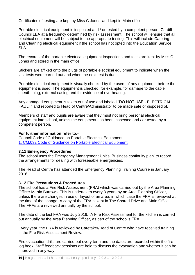Certificates of testing are kept by Miss C Jones and kept in Main office.

Portable electrical equipment is inspected and / or tested by a competent person, Cardiff Council LEA at a frequency determined by risk assessment. The school will ensure that all electrical equipment will be subject to the appropriate testing. This will include Catering and Cleaning electrical equipment if the school has not opted into the Education Service SLA.

The records of the portable electrical equipment inspections and tests are kept by Miss C Jones and stored in the main office.

Stickers are affixed onto the plugs of portable electrical equipment to indicate when the last tests were carried out and when the next test is due.

Portable electrical equipment is visually checked by the users of any equipment before the equipment is used. The equipment is checked, for example, for damage to the cable sheath, plug, external casing and for evidence of overheating.

Any damaged equipment is taken out of use and labeled "DO NOT USE - ELECTRICAL FAULT" and reported to Head of Centre/Administrator to be made safe or disposed of.

Members of staff and pupils are aware that they must not bring personal electrical equipment into school, unless the equipment has been inspected and / or tested by a competent person.

#### **For further information refer to:-**

Council Code of Guidance on Portable Electrical Equipment 1. [CM.032 Code of Guidance on Portable Electrical Equipment](http://web1.cardiff.gov.uk/corpqms/CORPORATE%20GENERAL%2FGuidance%20Notes%2FHealth%20%26%20Safety/1.CM.032%20Code%20of%20Guidance%20-%20Portable%20Electrical%20Equipment.pdf) 

### **3.11 Emergency Procedures**

The school uses the Emergency Management Unit's 'Business continuity plan' to record the arrangements for dealing with foreseeable emergencies.

The Head of Centre has attended the Emergency Planning Training Course in January 2016.

#### **3.12 Fire Precautions & Procedures**

The school has a Fire Risk Assessment (FRA) which was carried out by the Area Planning Officer Martin Burrows. This is undertaken every 3 years by an Area Planning Officer, unless there are changes in use or layout of an area, in which case the FRA is reviewed at the time of the change. A copy of the FRA is kept in The Shared Drive and Main Office. The FRAs are reviewed annually by the school.

The date of the last FRA was July 2016. A Fire Risk Assessment for the kitchen is carried out annually by the Area Planning Officer, as part of the school's FRA.

Every year, the FRA is reviewed by Caretaker/Head of Centre who have received training in the Fire Risk Assessment Review.

Fire evacuation drills are carried out every term and the dates are recorded within the fire log book. Staff feedback sessions are held to discuss the evacuation and whether it can be improved in any way.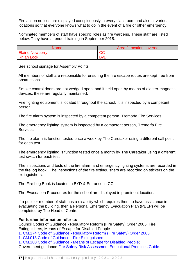Fire action notices are displayed conspicuously in every classroom and also at various locations so that everyone knows what to do in the event of a fire or other emergency.

Nominated members of staff have specific roles as fire wardens. These staff are listed below. They have attended training in September 2018.

| <b>Name</b>            | Area / Location covered |
|------------------------|-------------------------|
| <b>Elaine Newberry</b> | $\cap$<br>UU            |
| <b>Rhian Lock</b>      | <b>By</b>               |

See school signage for Assembly Points.

All members of staff are responsible for ensuring the fire escape routes are kept free from obstructions.

Smoke control doors are not wedged open, and if held open by means of electro-magnetic devices, these are regularly maintained.

Fire fighting equipment is located throughout the school. It is inspected by a competent person.

The fire alarm system is inspected by a competent person, Tremorfa Fire Services.

The emergency lighting system is inspected by a competent person, Tremorfa Fire Services.

The fire alarm is function tested once a week by The Caretaker using a different call point for each test.

The emergency lighting is function tested once a month by The Caretaker using a different test switch for each test.

The inspections and tests of the fire alarm and emergency lighting systems are recorded in the fire log book. The inspections of the fire extinguishers are recorded on stickers on the extinguishers.

The Fire Log Book is located in BYD & Entrance in CC.

The Evacuation Procedures for the school are displayed in prominent locations

If a pupil or member of staff has a disability which requires them to have assistance in evacuating the building, then a Personal Emergency Evacuation Plan (PEEP) will be completed by The Head of Centre.

### **For further information refer to:-**

Council Codes of Guidance - Regulatory Reform (Fire Safety) Order 2005, Fire Extinguishers, Means of Escape for Disabled People 1. CM.174 Code of Guidance - [Regulatory Reform \(Fire Safety\) Order 2005](http://web1.cardiff.gov.uk/corpqms/CORPORATE%20GENERAL%2FGuidance%20Notes%2FHealth%20%26%20Safety/1.CM.174%20Code%20of%20Guidance%20Regulatory%20Reform%20%28Fire%20Safety%29%20Order%202005.doc) 1. [CM.018 Code of Guidance -](http://web1.cardiff.gov.uk/corpqms/CORPORATE%20GENERAL%2FGuidance%20Notes%2FHealth%20%26%20Safety/1.CM.018%20Code%20of%20Guidance%20-%20Fire%20Extinguishers.pdf) Fire Extinguishers 1. CM.180 Code of Guidance - [Means of Escape for Disabled People;](http://web1.cardiff.gov.uk/corpqms/CORPORATE%20GENERAL%2FGuidance%20Notes%2FHealth%20%26%20Safety/1.CM.180%20Code%20of%20Guidance%20-%20Means%20of%20Escape%20for%20Disabled%20People.pdf) Government guidance [Fire Safety Risk Assessment Educational Premises Guide.](http://www.communities.gov.uk/publications/fire/firesafetyrisk6)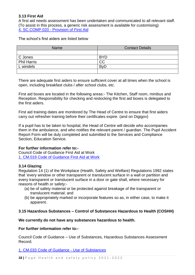## **3.13 First Aid**

A first aid needs assessment has been undertaken and communicated to all relevant staff. (To assist in this process, a generic risk assessment is available for customising) 4. SC.COMP.020 - [Provision of First Aid](http://web1.cardiff.gov.uk/corpqms/SCHOOLS%20SERVICES%2FHealth%20and%20Safety/4.SC.COMP.020%20%28ERA%20-%20First%20Aid%29.doc)

The school's first aiders are listed below

| <b>Name</b>        | <b>Contact Details</b>  |
|--------------------|-------------------------|
|                    |                         |
| C Jones            | <b>BYD</b>              |
| <b>Phil Harris</b> | <b>CC</b>               |
| L windels          | <b>B</b> <sub>V</sub> D |
|                    |                         |

There are adequate first aiders to ensure sufficient cover at all times when the school is open, including breakfast clubs / after school clubs, etc.

First aid boxes are located in the following areas:- The Kitchen, Staff room, minibus and Reception. Responsibility for checking and restocking the first aid boxes is delegated to the first aiders.

First aid training dates are monitored by The Head of Centre to ensure that first aiders carry out refresher training before their certificates expire. (and on Digigov)

If a pupil has to be taken to hospital, the Head of Centre will decide who accompanies them in the ambulance, and who notifies the relevant parent / guardian. The Pupil Accident Report Form will be duly completed and submitted to the Services and Compliance Section, Education Service.

### **For further information refer to:-**

Council Code of Guidance First Aid at Work 1. [CM.019 Code of Guidance First Aid at Work](http://web1.cardiff.gov.uk/corpqms/CORPORATE%20GENERAL%2FGuidance%20Notes%2FHealth%20%26%20Safety/1.CM.019%20Code%20of%20Guidance%20-%20First%20Aid%20at%20Work.doc) 

### **3.14 Glazing**

Regulation 14 (1) of the Workplace (Health, Safety and Welfare) Regulations 1992 states that 'every window or other transparent or translucent surface in a wall or partition and every transparent or translucent surface in a door or gate shall, where necessary for reasons of health or safety:-

- (a) be of safety material or be protected against breakage of the transparent or translucent material; and
- (b) be appropriately marked or incorporate features so as, in either case, to make it apparent.

### **3.15 Hazardous Substances – Control of Substances Hazardous to Health (COSHH)**

### **We currently do not have any substances hazardous to health.**

**For further information refer to:-**

Council Code of Guidance – Use of Substances, Hazardous Substances Assessment Record.

1. [CM.033 Code of Guidance -](http://web1.cardiff.gov.uk/corpqms/CORPORATE%20GENERAL%2FGuidance%20Notes%2FHealth%20%26%20Safety/1.CM.033%20Code%20of%20Guidance%20-%20Use%20of%20Substances.pdf?unique=1375446127) Use of Substances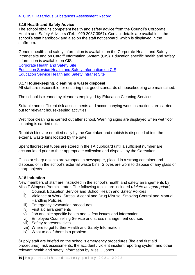## 4. [C.057 Hazardous Substances Assessment Record](http://web1.cardiff.gov.uk/corpqms/corporate%20general%2Fforms/4.C.057%20Hazardous%20Substance%20Assessment%20Record.doc)

## **3.16 Health and Safety Advice**

The school obtains competent health and safety advice from the Council's Corporate Health and Safety Advisers (Tel: - 029 2087 3967). Contact details are available in the school's staff handbook and also on the staff noticeboard, which is displayed in the staffroom.

General health and safety information is available on the Corporate Health and Safety intranet site and on Cardiff Information System (CIS). Education specific health and safety information is available on CIS.

[Corporate Health and Safety Site](http://cmsweb.cardiff.gov.uk/cardiff/content.asp?nav=3026,3053&parent_directory_id=3094) [Education Service Health and Safety Information on CIS](http://vmweb2.cardiff.gov.uk/cis2/qmsdocuments.php?servicearea_id=14&type=HEAL) [Education Service Health and Safety Intranet Site](http://cmsweb.cardiff.gov.uk/cardiff/content.asp?nav=3011,3035,5190&parent_directory_id=3094)

### **3.17 Housekeeping, cleaning & waste disposal**

All staff are responsible for ensuring that good standards of housekeeping are maintained.

The school is cleaned by cleaners employed *by* Education Cleaning Services.

Suitable and sufficient risk assessments and accompanying work instructions are carried out for relevant housekeeping activities.

Wet floor cleaning is carried out after school. Warning signs are displayed when wet floor cleaning is carried out.

Rubbish bins are emptied daily by the Caretaker and rubbish is disposed of into the external waste bins located by the gate.

Spent fluorescent tubes are stored in the TA cupboard until a sufficient number are accumulated prior to their appropriate collection and disposal by the Caretaker.

Glass or sharp objects are wrapped in newspaper, placed in a strong container and disposed of in the school's external waste bins. Gloves are worn to dispose of any glass or sharp objects.

### **3.18 Induction**

New members of staff are instructed in the school's health and safety arrangements by Miss F Simpson/Administrator. The following topics are included (*delete as appropriate*)

- i) Council, Education Service and School Health and Safety Policies
- ii) Violence at Work, Stress, Alcohol and Drug Misuse, Smoking Control and Manual Handling Policies
- iii) Emergency evacuation procedures
- iv) First aid arrangements
- v) Job and site specific health and safety issues and information
- vi) Employee Counselling Service and stress management courses
- vii) Safety representatives
- viii) Where to get further Health and Safety Information
- ix) What to do if there is a problem

Supply staff are briefed on the school's emergency procedures (fire and first aid procedures), risk assessments, the accident / violent incident reporting system and other relevant health and safety information by Miss C Jones.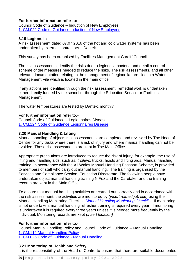## **For further information refer to:-**

Council Code of Guidance – Induction of New Employees 1. [CM.022 Code of Guidance Induction of New Employees](http://web1.cardiff.gov.uk/corpqms/CORPORATE%20GENERAL%2FGuidance%20Notes%2FHealth%20%26%20Safety/1.CM.022%20Code%20of%20Guidance%20-%20Induction%20of%20New%20Employees.pdf?unique=1377853585) 

## **3.19 Legionella**

A risk assessment dated 07.07.2016 of the hot and cold water systems has been undertaken by external contractors – Dantek.

This survey has been organised by Facilities Management Cardiff Council.

The risk assessments identify the risks due to legionella bacteria and detail a control scheme of the measures needed to reduce the risks. The risk assessments, and all other relevant documentation relating to the management of legionella, are filed in a Water Management File which is located in the main office.

If any actions are identified through the risk assessment, remedial work is undertaken either directly funded by the school or through the Education Service or Facilities Management.

The water temperatures are tested by Dantek, monthly.

### **For further information refer to:-**

Council Code of Guidance – Legionnaires Disease 1. [CM.124 Code of Guidance Legionnaires Disease](http://web1/corpqms/corporate%20general/procedures/1.CM.124%20COG%20-%20Legionnaires%20Disease.pdf)

### **3.20 Manual Handling & Lifting**

Manual handling of objects risk assessments are completed and reviewed by The Head of Centre for any tasks where there is a risk of injury and where manual handling can not be avoided. These risk assessments are kept in The Main Office.

Appropriate precautions are introduced to reduce the risk of injury, for example, the use of lifting and handling aids, such as*, trolleys,* trucks, hoists and lifting aids. Manual handling training, in accordance with the All Wales Manual Handling Passport Scheme, is provided to members of staff who carry out manual handling. The training is organised by the Services and Compliance Section, Education Directorate. The following people have undertaken object manual handling training N Fox and the Caretaker and the training records are kept in the Main Office.

To ensure that manual handling activities are carried out correctly and in accordance with the risk assessment, the activities are monitored by (*insert name / job title*) using the Manual Handling Monitoring Checklist *[Manual Handling Monitoring Checklist.](http://fpsites/personnel/Health%20&%20Safety/H&S%20Intranet/Manual%20Handling/4.C.422%20Manual%20Handling%20Monitoring%20check%20list%2011%2011%202009.doc)* If monitoring is not undertaken, manual handling refresher training is required every year. If monitoring is undertaken it is required every three years unless it is needed more frequently by the individual. Monitoring records are kept *(insert location)*

### **For further information refer to**:-

Council Manual Handling Policy and Council Code of Guidance – Manual Handling 1. [CM.112 Manual Handling Policy](http://web1.cardiff.gov.uk/corpqms/corporate%20general%2FPolicies%2FHealth%20and%20Safety/1.CM.112%20Manual%20Handling%20Policy%20LWA%20amendments.doc) 1. [CM.026 Code of Guidance -](http://web1.cardiff.gov.uk/corpqms/CORPORATE%20GENERAL%2FGuidance%20Notes%2FHealth%20%26%20Safety/1.CM.026%20Code%20of%20Guidance%20-%20Manual%20Handling.pdf) Manual Handling

### **3.21 Monitoring of Health and Safety**

It is the responsibility of the Head of Centre to ensure that there are suitable documented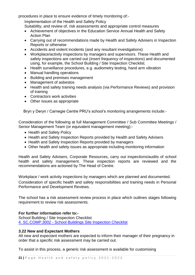procedures in place to ensure evidence of timely monitoring of:-

Implementation of the Health and Safety Policy

Suitability, and review of, risk assessments and appropriate control measures

- Achievement of objectives in the Education Service Annual Health and Safety Action Plan
- Carrying out of recommendations made by Health and Safety Advisers in Inspection Reports or otherwise
- Accidents and violent incidents (and any resultant investigations)
- Workplace/activity inspections by managers and supervisors. These Health and safety inspections are carried out (*insert frequency of inspections*) and documented using, for example, the School Building / Site Inspection Checklist.
- Health surveillance procedures, e.g. audiometry testing, hand arm vibration
- Manual handling operations
- Building and premises management
- Management of asbestos
- Health and safety training needs analysis (via Performance Reviews) and provision of training
- Contractors work activities
- Other issues as appropriate

Bryn y Deryn / Carnegie Centre PRU's school's monitoring arrangements include:-

Consideration of the following at full Management Committee / Sub Committee Meetings / Senior Management Team (or equivalent management meeting):-

- Health and Safety Policy
- Health and Safety Inspection Reports provided by Health and Safety Advisers
- Health and Safety Inspection Reports provided by managers
- Other health and safety issues as appropriate including monitoring information

Health and Safety Advisers, Corporate Resources, carry out inspections/audits of school health and safety management. These inspection reports are reviewed and the recommendations are actioned by The Head of Centre.

Workplace / work activity inspections by managers which are planned and documented.

Consideration of specific health and safety responsibilities and training needs in Personal Performance and Development Reviews.

The school has a risk assessment review process in place which outlines stages following requirement to review risk assessments.

### **For further information refer to:-**

School Building / Site Inspection Checklist 4. SC.COMP.3002 - [School Buildings Site Inspection Checklist](http://web1.cardiff.gov.uk/corpqms/SCHOOLS%20SERVICES%2FHealth%20and%20Safety/4.SC.COMP.3002%20%28EPM%20-%20School%20Buildings%20-%20Site%20Inspection%20Checklist%29.docx)

### **3.22 New and Expectant Mothers**

All new and expectant mothers are expected to inform their manager of their pregnancy in order that a specific risk assessment may be carried out.

To assist in this process, a generic risk assessment is available for customising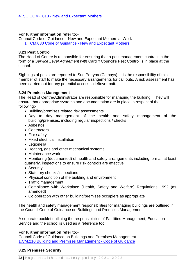### **For further information refer to:-**

Council Code of Guidance - New and Expectant Mothers at Work 1. CM.030 Code of Guidance - [New and Expectant Mothers](http://web1.cardiff.gov.uk/corpqms/CORPORATE%20GENERAL%2FGuidance%20Notes%2FHealth%20%26%20Safety/1.CM.030%20Code%20of%20Guidance%20-%20New%20and%20Expectant%20Mothers.pdf)

## **3.23 Pest Control**

The Head of Centre is responsible for ensuring that a pest management contract in the form of a *Service Level Agreement with* Cardiff Council's Pest Control is in place at the school.

Sightings of pests are reported to Sue Petryna (Cathays). It is the responsibility of this member of staff to make the necessary arrangements for call outs. A risk assessment has been carried out for any potential access to leftover bait.

### **3.24 Premises Management**

The Head of Centre/Administrator are responsible for managing the building. They will ensure that appropriate systems and documentation are in place in respect of the following:-

- Building/premises related risk assessments
- Day to day management of the health and safety management of the building/premises, including regular inspections / checks
- Asbestos
- Contractors
- Fire safety
- Fixed electrical installation
- Legionella
- Heating, gas and other mechanical systems
- Maintenance work
- Monitoring (documented) of health and safety arrangements including formal, at least quarterly, inspections to ensure risk controls are effective
- Security
- Statutory checks/inspections
- Physical condition of the building and environment
- Traffic management
- Compliance with Workplace (Health, Safety and Welfare) Regulations 1992 (as amended)
- Co operation with other building/premises occupiers as appropriate

The health and safety management responsibilities for managing buildings are outlined in the Council Code of Guidance on Buildings and Premises Management.

A separate booklet outlining the responsibilities of Facilities Management, Education Service and the school is used as a reference tool.

### **For further information refer to:-**

Council Code of Guidance on Buildings and Premises Management. [1.CM.210 Building and Premises Management -](http://web1.cardiff.gov.uk/corpqms/CORPORATE%20GENERAL%2FGuidance%20Notes%2FHealth%20%26%20Safety/1.CM.210%20Building%20and%20Premises%20Management%20C%20of%20G.doc) Code of Guidance

### **3.25 Premises Security**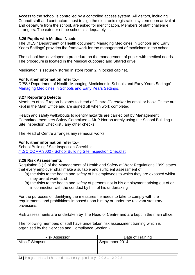Access to the school is controlled by *a* controlled access system. All visitors, including Council staff and contractors must to sign the electronic registration system upon arrival at and departure from the school, are asked for identification. Members of staff challenge strangers. The exterior of the school is adequately lit.

### **3.26 Pupils with Medical Needs**

The DfES / Department of Health document 'Managing Medicines in Schools and Early Years Settings' provides the framework for the management of medicines in the school.

The school has developed a procedure on the management of pupils with medical needs. The procedure is located in the Medical cupboard and Shared drive.

Medication is securely stored in store room 2 in locked cabinet.

### **For further information refer to:-**

DfES / Department of Health 'Managing Medicines in Schools and Early Years Settings' [Managing Medicines in Schools and Early Years Settings,](https://www.education.gov.uk/publications/standard/publicationDetail/Page1/DFES-1448-2005#downloadableparts)

### **3.27 Reporting Defects**

Members of staff report hazards to Head of Centre /Caretaker by email or book. These are kept in the Main Office and are signed off when work completed

Health and safety walkabouts to identify hazards are carried out by Management Committee members Safety Committee – Mr P Norton termly using the School Building / Site Inspection Checklist / any other checks.

The Head of Centre arranges any remedial works.

### **For further information refer to:-**

School Building / Site Inspection Checklist /4.SC.COMP.3002 - [School Building Site Inspection Checklist](http://web1.cardiff.gov.uk/corpqms/SCHOOLS%20SERVICES%2FHealth%20and%20Safety/4.SC.COMP.3002%20%28EPM%20-%20School%20Buildings%20-%20Site%20Inspection%20Checklist%29.docx)

### **3.28 Risk Assessments**

Regulation 3 (1) of the Management of Health and Safety at Work Regulations 1999 states that every employer shall make a suitable and sufficient assessment of

- (a) the risks to the health and safety of his employees to which they are exposed whilst they are at work; and
- (b) the risks to the health and safety of persons not in his employment arising out of or in connection with the conduct by him of his undertaking

For the purposes of identifying the measures he needs to take to comply with the requirements and prohibitions imposed upon him by or under the relevant statutory provisions.

Risk assessments are undertaken by The Head of Centre and are kept in the main office.

The following members of staff have undertaken risk assessment training which is organised by the Services and Compliance Section:-

| <b>Risk Assessor</b> | Date of Training |
|----------------------|------------------|
| Miss F Simpson       | September 2014   |
|                      |                  |
|                      |                  |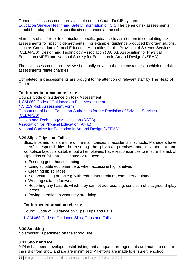Generic risk assessments are available on the Council's CIS system. [Education Service Health and Safety Information on CIS](http://vmweb2.cardiff.gov.uk/cis2/qmsdocuments.php?servicearea_id=14&type=HEAL) The generic risk assessments should be adapted to the specific circumstances at the school.

Members of staff refer to curriculum specific guidance to assist them in completing risk assessments for specific departments. For example, guidance produced by organisations, such as Consortium of Local Education Authorities for the Provision of Science Services (CLEAPSS), Design and Technology Association (DATA), Association for Physical Education (AfPE) and National Society for Education in Art and Design (NSEAD).

The risk assessments are reviewed annually or when the circumstances to which the risk assessments relate changes.

Completed risk assessments are brought to the attention of relevant staff by The Head of Centre.

### **For further information refer to:-**

Council Code of Guidance on Risk Assessment [1.CM.060 Code of Guidance on Risk Assessment](http://web1/corpqms/corporate%20general/procedures/1.CM.060%20Code%20of%20Guidance%20-%20Risk%20Assessments.pdf) [4.C.219 Risk Assessment Form](http://web1.cardiff.gov.uk/corpqms/corporate%20general%2Fforms/4.C.219%20Risk%20Assessments.doc) [Consortium of Local Education Authorities for the Provision of Science Services](http://www.cleapss.org.uk/)  [\(CLEAPSS\)](http://www.cleapss.org.uk/)  [Design and Technology Association \(DATA\)](http://www.data.org.uk/) [Association for Physical Education \(AfPE\)](http://www.afpe.org.uk/) [National Society for Education in Art and Design \(NSEAD\)](http://www.nsead.org/home/index.aspx)

#### **3.29 Slips, Trips and Falls**

Slips, trips and falls are one of the main causes of accidents in schools. Managers have specific responsibilities in ensuring the physical premises and environment and workplace layout is suitable, but all employees have responsibilities to ensure the risk of slips, trips or falls are eliminated or reduced by:

- Ensuring good housekeeping
- Using suitable equipment e.g. when accessing high shelves
- Cleaning up spillages
- Not obstructing areas e.g. with redundant furniture, computer equipment.
- Wearing suitable footwear
- Reporting any hazards which they cannot address, e.g. condition of playground /play areas
- Paying attention to what they are doing.

### **For further information refer to:**

Council Code of Guidance on Slips, Trips and Falls

[1.CM.063 Code of Guidance Slips, Trips and Falls.](http://web1/corpqms/corporate%20general/procedures/1.CM.063%20COG%20-%20Slips%20Trips%20and%20Falls.pdf)

#### **3.30 Smoking**

No smoking is permitted on the school site.

#### **3.31 Snow and Ice**

A Plan has been developed establishing that adequate arrangements are made to ensure the risks from snow and ice are minimised. All efforts are made to ensure the school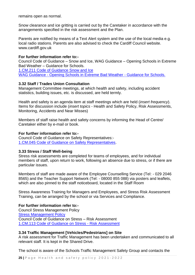remains open as normal.

Snow clearance and ice gritting is carried out by the Caretaker in accordance with the arrangements specified in the risk assessment and the Plan.

Parents are notified by means of a Text Alert system and the use of the local media e.g. local radio stations. Parents are also advised to check the Cardiff Council website. www.cardiff.gov.uk

#### **For further information refer to:-**

Council Code of Guidance – Snow and Ice, WAG Guidance – Opening Schools in Extreme Bad Weather – Guidance for Schools.

[1.CM.211 Code of Guidance Snow and Ice](http://web1.cardiff.gov.uk/corpqms/CORPORATE%20GENERAL%2FGuidance%20Notes%2FHealth%20%26%20Safety/1.CM.211%20Code%20of%20Guidance%20-%20Snow%20and%20Ice.pdf) WAG Guidance - [Opening Schools in Extreme Bad Weather -](http://wales.gov.uk/docs/dcells/publications/101213schoolopeningen.pdf) Guidance for Schools.

#### **3.32 Staff / Trades Union Consultation**

Management Committee meetings, at which health and safety, including accident statistics, building issues, etc. is discussed, are held termly.

Health and safety is an agenda item at staff meetings which are held (*insert frequency*). Items for discussion include (*insert topics* - Health and Safety Policy, Risk Assessments, Monitoring, Accidents and Near Misses)

Members of staff raise health and safety concerns by informing the Head of Centre/ Caretaker either by e-mail or book.

#### **For further information refer to:-**

Council Code of Guidance on Safety Representatives:- [1.CM.045 Code of Guidance on Safety Representatives.](http://web1/corpqms/corporate%20general/procedures/1.CM.045%20Code%20of%20Guidance%20Safety%20Representatives.pdf)

### **3.33 Stress / Staff Well-being**

Stress risk assessments are completed for teams of employees, and for individual members of staff, upon return to work, following an absence due to stress, or if there are particular issues.

Members of staff are made aware of the Employee Counselling Service (Tel: - 029 2046 8565) and the Teacher Support Network (Tel: - 08000 855 088) via posters and leaflets, which are also pinned to the staff noticeboard, located in the Staff Room

Stress Awareness Training for Managers and Employees, and Stress Risk Assessment Training, can be arranged by the school or via Services and Compliance.

### **For further information refer to:-**

Council Stress Management Policy **[Stress Management Policy](http://web1/corpqms/corporate%20general/Policies/Health%20and%20Safety/1.CM.118%20Stress%20Management%20Policy.pdf)** Council Code of Guidance on Stress – Risk Assessment [1.CM.113 Code of Guidance on Stress -](http://web1/corpqms/corporate%20general/procedures/1.CM.113%20Stress%20Risk%20Assessment.pdf) Risk Assessment

#### **3.34 Traffic Management [Vehicles/Pedestrians] on Site**

A risk assessment for Traffic Management has been undertaken and communicated to all relevant staff. It is kept in the Shared Drive.

The school is aware of the Schools Traffic Management Safety Group and contacts the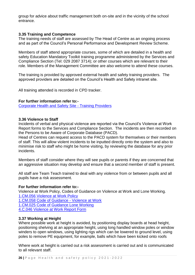group for advice about traffic management both on-site and in the vicinity of the school entrance.

## **3.35 Training and Competence**

The training needs of staff are assessed by The Head of Centre as an ongoing process and as part of the Council's Personal Performance and Development Review Scheme.

Members of staff attend appropriate courses, some of which are detailed in a health and safety Education Mandatory Toolkit training programme administered by the Services and Compliance Section (Tel: 029 2087 3714); or other courses which are relevant to their role. Members of the Management Committee are also welcome to attend these courses.

The training is provided by approved external health and safety training providers. The approved providers are detailed on the Council's Health and Safety intranet site.

All training attended is recorded in CPD tracker.

#### **For further information refer to:-**

[Corporate Health and Safety Site -](http://cmsweb.cardiff.gov.uk/cardiff/content.asp?nav=3026,3053&parent_directory_id=3094) Training Providers

#### **3.36 Violence to Staff**

Incidents of verbal and physical violence are reported via the Council's Violence at Work Report forms to the Services and Compliance Section. The incidents are then recorded on the Persons to be Aware of Corporate Database (PACD).

Head of Centres can request access to the PACD system for themselves or their members of staff. This will allow violent incidents to be inputted directly onto the system and also to minimise risk to staff who might be home visiting, by reviewing the database for any prior incidents.

Members of staff consider where they will see pupils or parents if they are concerned that an aggressive situation may develop and ensure that a second member of staff is present.

All staff are Team Teach trained to deal with any violence from or between pupils and all pupils have a risk assessment.

#### **For further information refer to:-**

Violence at Work Policy, Codes of Guidance on Violence at Work and Lone Working. [1.CM.056 Violence at Work Policy](http://web1.cardiff.gov.uk/corpqms/corporate%20general%2FPolicies%2FHealth%20and%20Safety/1.CM.056%20VAW%20Policy%20071010_%201249pm%20FINAL%20VERSION.pdf) [1.CM.058 Code of Guidance -](http://web1.cardiff.gov.uk/corpqms/CORPORATE%20GENERAL%2FGuidance%20Notes%2FHealth%20%26%20Safety/1.CM.058%20Code%20of%20Guidance%20-%20Violence%20at%20Work.pdf) Violence at Work [1.CM.025 Code of Guidance Lone Working](http://web1.cardiff.gov.uk/corpqms/CORPORATE%20GENERAL%2FGuidance%20Notes%2FHealth%20%26%20Safety/1.CM.025%20Code%20of%20Guidance%20-%20Lone%20Working.pdf) [4.C.046 Violence at Work Report Form](http://web1.cardiff.gov.uk/corpqms/corporate%20general%2Fforms/4.C.046%20Violence%20at%20Work%20Report%20Form.doc)

### **3.37 Working at Height**

Where possible work at height is avoided, by positioning display boards at head height, positioning shelving at an appropriate height, using long handled window poles or window winders to open windows, using lighting rigs which can be lowered to ground level, using poles to remove PE equipment, for example, balls which have been kicked onto roofs

Where work at height is carried out a risk assessment is carried out and is communicated to all relevant staff.